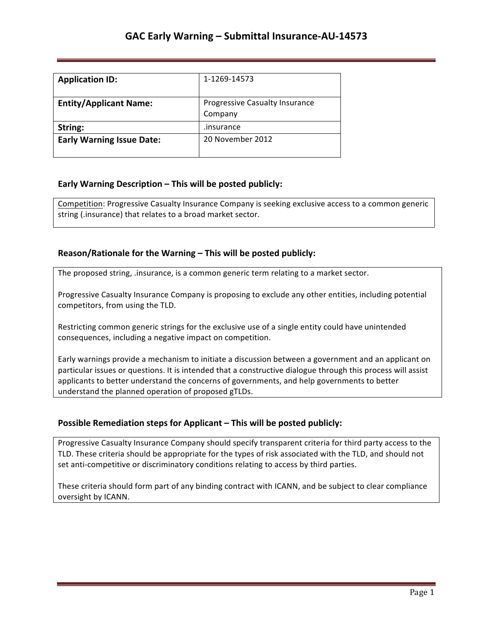| <b>Application ID:</b>           | 1-1269-14573                              |
|----------------------------------|-------------------------------------------|
| <b>Entity/Applicant Name:</b>    | Progressive Casualty Insurance<br>Company |
| String:                          | .insurance                                |
| <b>Early Warning Issue Date:</b> | 20 November 2012                          |

### **Early Warning Description – This will be posted publicly:**

Competition: Progressive Casualty Insurance Company is seeking exclusive access to a common generic string (.insurance) that relates to a broad market sector.

### **Reason/Rationale for the Warning – This will be posted publicly:**

The proposed string, .insurance, is a common generic term relating to a market sector.

Progressive Casualty Insurance Company is proposing to exclude any other entities, including potential competitors, from using the TLD.

Restricting common generic strings for the exclusive use of a single entity could have unintended consequences, including a negative impact on competition.

Early warnings provide a mechanism to initiate a discussion between a government and an applicant on particular issues or questions. It is intended that a constructive dialogue through this process will assist applicants to better understand the concerns of governments, and help governments to better understand the planned operation of proposed gTLDs.

## **Possible Remediation steps for Applicant - This will be posted publicly:**

Progressive Casualty Insurance Company should specify transparent criteria for third party access to the TLD. These criteria should be appropriate for the types of risk associated with the TLD, and should not set anti-competitive or discriminatory conditions relating to access by third parties.

These criteria should form part of any binding contract with ICANN, and be subject to clear compliance oversight by ICANN.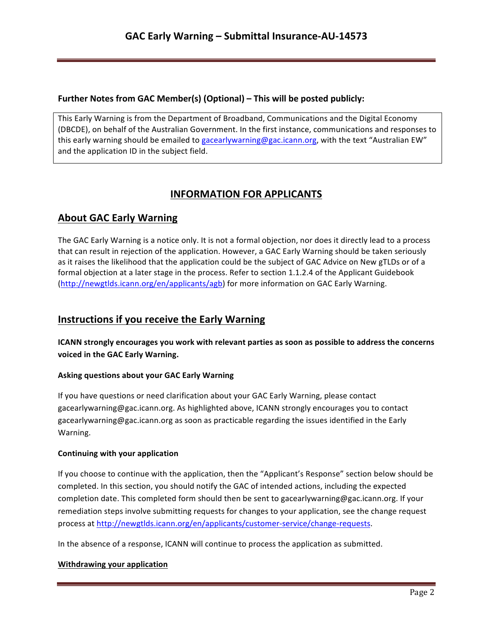## **Further Notes from GAC Member(s) (Optional) – This will be posted publicly:**

This Early Warning is from the Department of Broadband, Communications and the Digital Economy (DBCDE), on behalf of the Australian Government. In the first instance, communications and responses to this early warning should be emailed to gacearlywarning@gac.icann.org, with the text "Australian EW" and the application ID in the subject field.

# **INFORMATION FOR APPLICANTS**

# **About GAC Early Warning**

The GAC Early Warning is a notice only. It is not a formal objection, nor does it directly lead to a process that can result in rejection of the application. However, a GAC Early Warning should be taken seriously as it raises the likelihood that the application could be the subject of GAC Advice on New gTLDs or of a formal objection at a later stage in the process. Refer to section 1.1.2.4 of the Applicant Guidebook (http://newgtlds.icann.org/en/applicants/agb) for more information on GAC Early Warning.

# **Instructions if you receive the Early Warning**

**ICANN** strongly encourages you work with relevant parties as soon as possible to address the concerns voiced in the GAC Early Warning.

## **Asking questions about your GAC Early Warning**

If you have questions or need clarification about your GAC Early Warning, please contact gacearlywarning@gac.icann.org. As highlighted above, ICANN strongly encourages you to contact gacearlywarning@gac.icann.org as soon as practicable regarding the issues identified in the Early Warning. 

#### **Continuing with your application**

If you choose to continue with the application, then the "Applicant's Response" section below should be completed. In this section, you should notify the GAC of intended actions, including the expected completion date. This completed form should then be sent to gacearlywarning@gac.icann.org. If your remediation steps involve submitting requests for changes to your application, see the change request process at http://newgtlds.icann.org/en/applicants/customer-service/change-requests.

In the absence of a response, ICANN will continue to process the application as submitted.

#### **Withdrawing your application**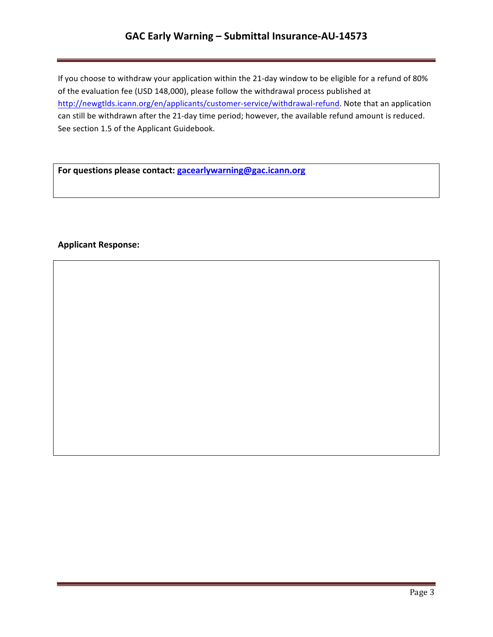# GAC Early Warning - Submittal Insurance-AU-14573

If you choose to withdraw your application within the 21-day window to be eligible for a refund of 80% of the evaluation fee (USD 148,000), please follow the withdrawal process published at http://newgtlds.icann.org/en/applicants/customer-service/withdrawal-refund. Note that an application can still be withdrawn after the 21-day time period; however, the available refund amount is reduced. See section 1.5 of the Applicant Guidebook.

For questions please contact: **gacearlywarning@gac.icann.org** 

### **Applicant Response:**